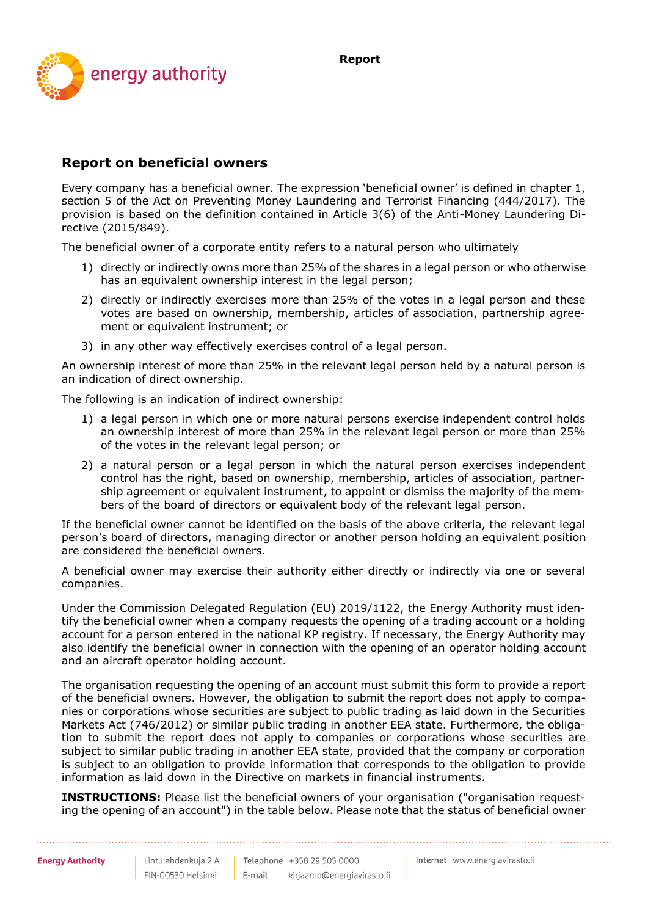**Report**



## **Report on beneficial owners**

Every company has a beneficial owner. The expression 'beneficial owner' is defined in chapter 1, section 5 of the Act on Preventing Money Laundering and Terrorist Financing (444/2017). The provision is based on the definition contained in Article 3(6) of the Anti-Money Laundering Directive (2015/849).

The beneficial owner of a corporate entity refers to a natural person who ultimately

- 1) directly or indirectly owns more than 25% of the shares in a legal person or who otherwise has an equivalent ownership interest in the legal person;
- 2) directly or indirectly exercises more than 25% of the votes in a legal person and these votes are based on ownership, membership, articles of association, partnership agreement or equivalent instrument; or
- 3) in any other way effectively exercises control of a legal person.

An ownership interest of more than 25% in the relevant legal person held by a natural person is an indication of direct ownership.

The following is an indication of indirect ownership:

- 1) a legal person in which one or more natural persons exercise independent control holds an ownership interest of more than 25% in the relevant legal person or more than 25% of the votes in the relevant legal person; or
- 2) a natural person or a legal person in which the natural person exercises independent control has the right, based on ownership, membership, articles of association, partnership agreement or equivalent instrument, to appoint or dismiss the majority of the members of the board of directors or equivalent body of the relevant legal person.

If the beneficial owner cannot be identified on the basis of the above criteria, the relevant legal person's board of directors, managing director or another person holding an equivalent position are considered the beneficial owners.

A beneficial owner may exercise their authority either directly or indirectly via one or several companies.

Under the Commission Delegated Regulation (EU) 2019/1122, the Energy Authority must identify the beneficial owner when a company requests the opening of a trading account or a holding account for a person entered in the national KP registry. If necessary, the Energy Authority may also identify the beneficial owner in connection with the opening of an operator holding account and an aircraft operator holding account.

The organisation requesting the opening of an account must submit this form to provide a report of the beneficial owners. However, the obligation to submit the report does not apply to companies or corporations whose securities are subject to public trading as laid down in the Securities Markets Act (746/2012) or similar public trading in another EEA state. Furthermore, the obligation to submit the report does not apply to companies or corporations whose securities are subject to similar public trading in another EEA state, provided that the company or corporation is subject to an obligation to provide information that corresponds to the obligation to provide information as laid down in the Directive on markets in financial instruments.

**INSTRUCTIONS:** Please list the beneficial owners of your organisation ("organisation requesting the opening of an account") in the table below. Please note that the status of beneficial owner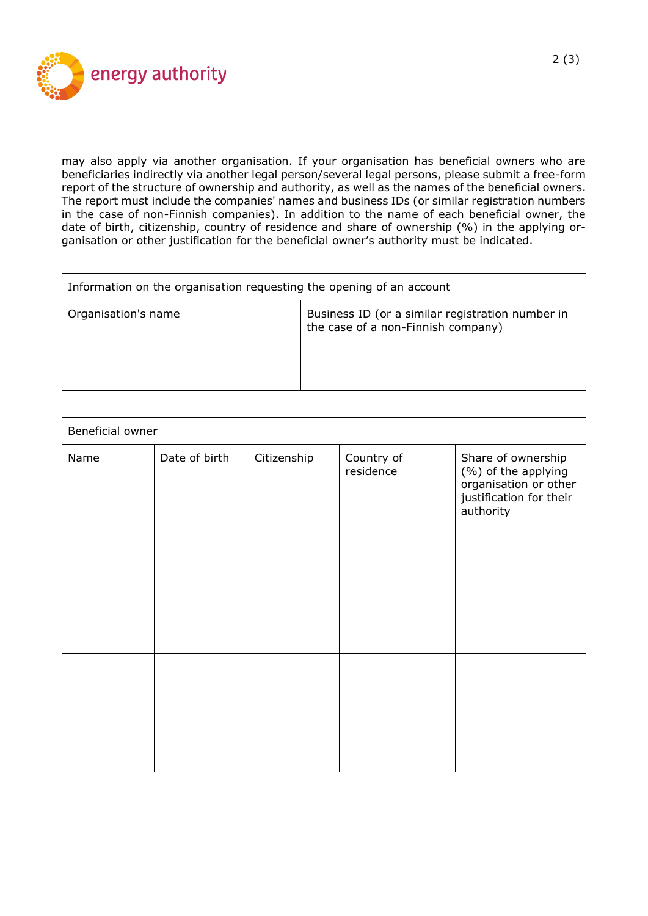

may also apply via another organisation. If your organisation has beneficial owners who are beneficiaries indirectly via another legal person/several legal persons, please submit a free-form report of the structure of ownership and authority, as well as the names of the beneficial owners. The report must include the companies' names and business IDs (or similar registration numbers in the case of non-Finnish companies). In addition to the name of each beneficial owner, the date of birth, citizenship, country of residence and share of ownership (%) in the applying organisation or other justification for the beneficial owner's authority must be indicated.

| Information on the organisation requesting the opening of an account |                                                                                        |  |  |
|----------------------------------------------------------------------|----------------------------------------------------------------------------------------|--|--|
| Organisation's name                                                  | Business ID (or a similar registration number in<br>the case of a non-Finnish company) |  |  |
|                                                                      |                                                                                        |  |  |

| Beneficial owner |               |             |                         |                                                                                                            |  |  |
|------------------|---------------|-------------|-------------------------|------------------------------------------------------------------------------------------------------------|--|--|
| Name             | Date of birth | Citizenship | Country of<br>residence | Share of ownership<br>(%) of the applying<br>organisation or other<br>justification for their<br>authority |  |  |
|                  |               |             |                         |                                                                                                            |  |  |
|                  |               |             |                         |                                                                                                            |  |  |
|                  |               |             |                         |                                                                                                            |  |  |
|                  |               |             |                         |                                                                                                            |  |  |